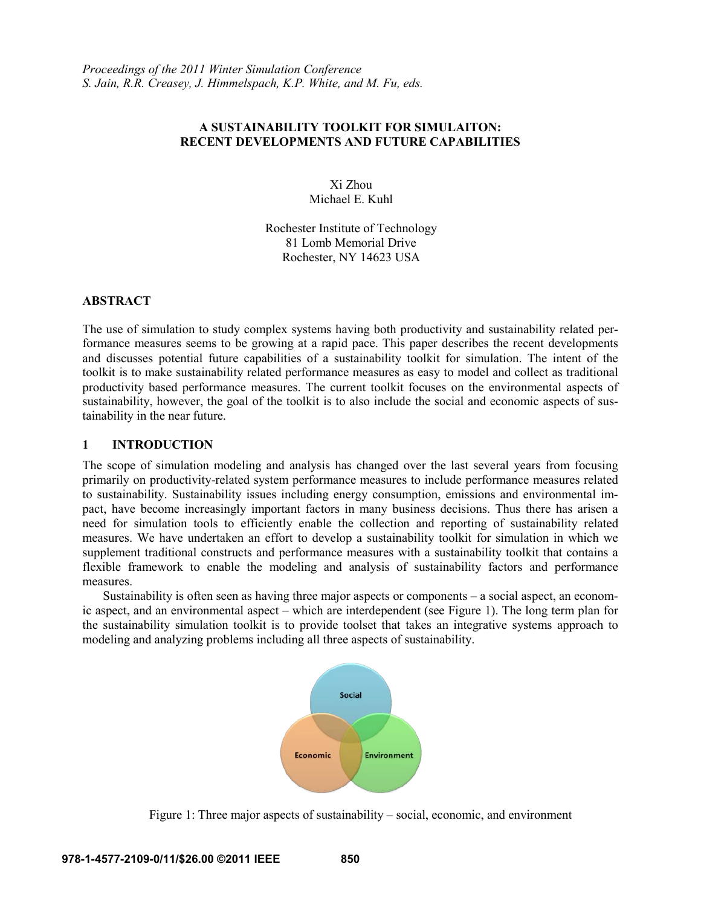# **A SUSTAINABILITY TOOLKIT FOR SIMULAITON: RECENT DEVELOPMENTS AND FUTURE CAPABILITIES**

Xi Zhou Michael E. Kuhl

Rochester Institute of Technology 81 Lomb Memorial Drive Rochester, NY 14623 USA

#### **ABSTRACT**

The use of simulation to study complex systems having both productivity and sustainability related performance measures seems to be growing at a rapid pace. This paper describes the recent developments and discusses potential future capabilities of a sustainability toolkit for simulation. The intent of the toolkit is to make sustainability related performance measures as easy to model and collect as traditional productivity based performance measures. The current toolkit focuses on the environmental aspects of sustainability, however, the goal of the toolkit is to also include the social and economic aspects of sustainability in the near future.

## **1 INTRODUCTION**

The scope of simulation modeling and analysis has changed over the last several years from focusing primarily on productivity-related system performance measures to include performance measures related to sustainability. Sustainability issues including energy consumption, emissions and environmental impact, have become increasingly important factors in many business decisions. Thus there has arisen a need for simulation tools to efficiently enable the collection and reporting of sustainability related measures. We have undertaken an effort to develop a sustainability toolkit for simulation in which we supplement traditional constructs and performance measures with a sustainability toolkit that contains a flexible framework to enable the modeling and analysis of sustainability factors and performance measures.

Sustainability is often seen as having three major aspects or components – a social aspect, an economic aspect, and an environmental aspect – which are interdependent (see Figure 1). The long term plan for the sustainability simulation toolkit is to provide toolset that takes an integrative systems approach to modeling and analyzing problems including all three aspects of sustainability.



Figure 1: Three major aspects of sustainability – social, economic, and environment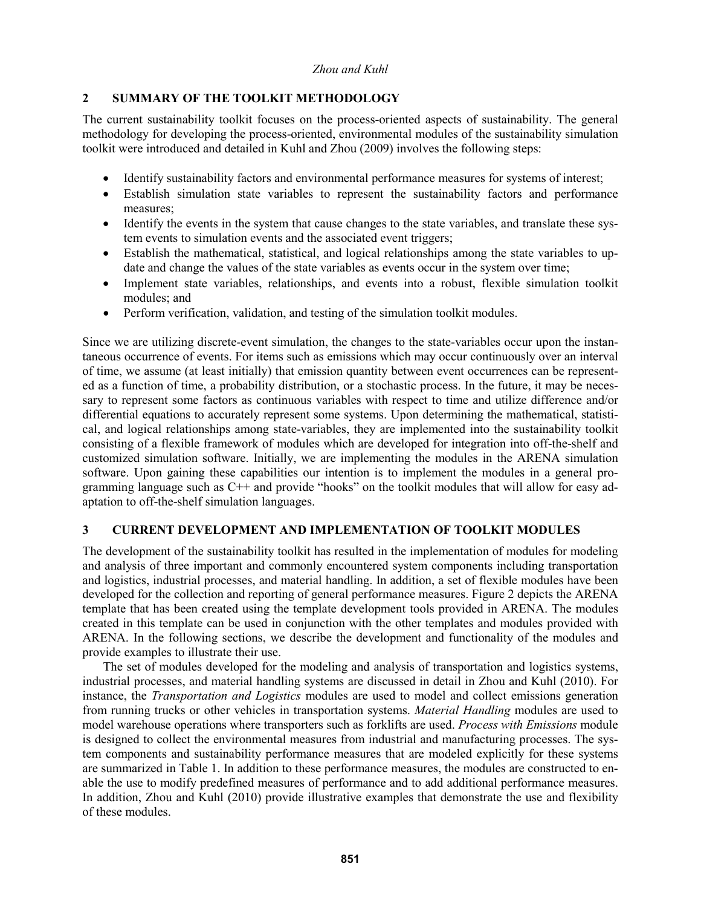# **2 SUMMARY OF THE TOOLKIT METHODOLOGY**

The current sustainability toolkit focuses on the process-oriented aspects of sustainability. The general methodology for developing the process-oriented, environmental modules of the sustainability simulation toolkit were introduced and detailed in Kuhl and Zhou (2009) involves the following steps:

- Identify sustainability factors and environmental performance measures for systems of interest;
- Establish simulation state variables to represent the sustainability factors and performance measures;
- Identify the events in the system that cause changes to the state variables, and translate these system events to simulation events and the associated event triggers;
- Establish the mathematical, statistical, and logical relationships among the state variables to update and change the values of the state variables as events occur in the system over time;
- Implement state variables, relationships, and events into a robust, flexible simulation toolkit modules; and
- Perform verification, validation, and testing of the simulation toolkit modules.

Since we are utilizing discrete-event simulation, the changes to the state-variables occur upon the instantaneous occurrence of events. For items such as emissions which may occur continuously over an interval of time, we assume (at least initially) that emission quantity between event occurrences can be represented as a function of time, a probability distribution, or a stochastic process. In the future, it may be necessary to represent some factors as continuous variables with respect to time and utilize difference and/or differential equations to accurately represent some systems. Upon determining the mathematical, statistical, and logical relationships among state-variables, they are implemented into the sustainability toolkit consisting of a flexible framework of modules which are developed for integration into off-the-shelf and customized simulation software. Initially, we are implementing the modules in the ARENA simulation software. Upon gaining these capabilities our intention is to implement the modules in a general programming language such as C++ and provide "hooks" on the toolkit modules that will allow for easy adaptation to off-the-shelf simulation languages.

# **3 CURRENT DEVELOPMENT AND IMPLEMENTATION OF TOOLKIT MODULES**

The development of the sustainability toolkit has resulted in the implementation of modules for modeling and analysis of three important and commonly encountered system components including transportation and logistics, industrial processes, and material handling. In addition, a set of flexible modules have been developed for the collection and reporting of general performance measures. Figure 2 depicts the ARENA template that has been created using the template development tools provided in ARENA. The modules created in this template can be used in conjunction with the other templates and modules provided with ARENA. In the following sections, we describe the development and functionality of the modules and provide examples to illustrate their use.

The set of modules developed for the modeling and analysis of transportation and logistics systems, industrial processes, and material handling systems are discussed in detail in Zhou and Kuhl (2010). For instance, the *Transportation and Logistics* modules are used to model and collect emissions generation from running trucks or other vehicles in transportation systems. *Material Handling* modules are used to model warehouse operations where transporters such as forklifts are used. *Process with Emissions* module is designed to collect the environmental measures from industrial and manufacturing processes. The system components and sustainability performance measures that are modeled explicitly for these systems are summarized in Table 1. In addition to these performance measures, the modules are constructed to enable the use to modify predefined measures of performance and to add additional performance measures. In addition, Zhou and Kuhl (2010) provide illustrative examples that demonstrate the use and flexibility of these modules.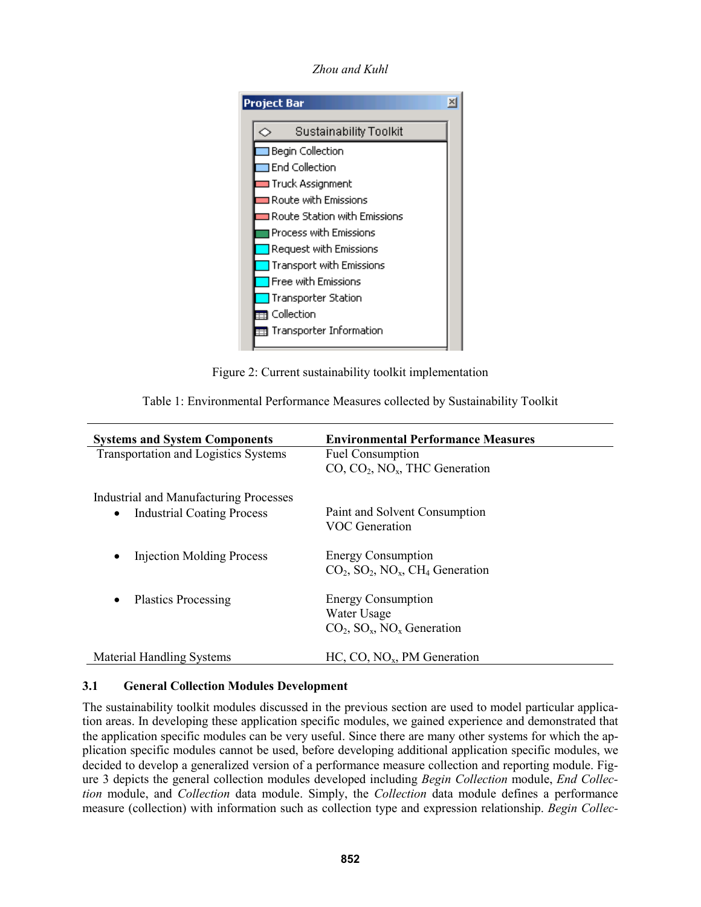*Zhou and Kuhl*

| <b>Project Bar</b>                          |  |  |
|---------------------------------------------|--|--|
| ◇<br>Sustainability Toolkit                 |  |  |
| Begin Collection                            |  |  |
| <b>∏End Collection</b>                      |  |  |
| Truck Assignment                            |  |  |
| $\blacksquare$ Route with Emissions         |  |  |
| $\blacksquare$ Route Station with Emissions |  |  |
| I Process with Emissions                    |  |  |
| Request with Emissions                      |  |  |
| Transport with Emissions                    |  |  |
| Free with Emissions                         |  |  |
| Transporter Station                         |  |  |
| = Collection                                |  |  |
| Transporter Information                     |  |  |

Figure 2: Current sustainability toolkit implementation

| Table 1: Environmental Performance Measures collected by Sustainability Toolkit |  |  |  |  |
|---------------------------------------------------------------------------------|--|--|--|--|
|                                                                                 |  |  |  |  |

| <b>Systems and System Components</b>           | <b>Environmental Performance Measures</b>              |
|------------------------------------------------|--------------------------------------------------------|
| <b>Transportation and Logistics Systems</b>    | <b>Fuel Consumption</b>                                |
|                                                | $CO$ , $CO2$ , $NOx$ , THC Generation                  |
| Industrial and Manufacturing Processes         |                                                        |
| <b>Industrial Coating Process</b><br>$\bullet$ | Paint and Solvent Consumption<br><b>VOC</b> Generation |
| <b>Injection Molding Process</b><br>$\bullet$  | <b>Energy Consumption</b>                              |
|                                                | $CO2$ , $SO2$ , $NOx$ , $CH4 Generation$               |
| <b>Plastics Processing</b><br>$\bullet$        | <b>Energy Consumption</b>                              |
|                                                | Water Usage                                            |
|                                                | $CO2$ , $SOx$ , NO <sub>x</sub> Generation             |
| <b>Material Handling Systems</b>               | HC, CO, NO <sub>x</sub> , PM Generation                |

# **3.1 General Collection Modules Development**

The sustainability toolkit modules discussed in the previous section are used to model particular application areas. In developing these application specific modules, we gained experience and demonstrated that the application specific modules can be very useful. Since there are many other systems for which the application specific modules cannot be used, before developing additional application specific modules, we decided to develop a generalized version of a performance measure collection and reporting module. Figure 3 depicts the general collection modules developed including *Begin Collection* module, *End Collection* module, and *Collection* data module. Simply, the *Collection* data module defines a performance measure (collection) with information such as collection type and expression relationship. *Begin Collec-*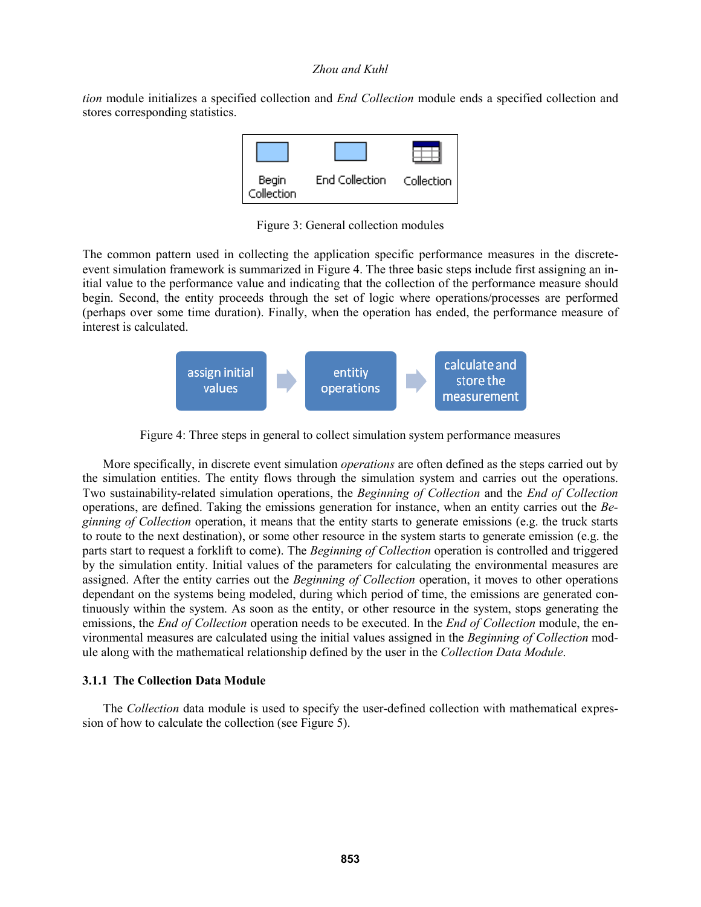*tion* module initializes a specified collection and *End Collection* module ends a specified collection and stores corresponding statistics.



Figure 3: General collection modules

The common pattern used in collecting the application specific performance measures in the discreteevent simulation framework is summarized in Figure 4. The three basic steps include first assigning an initial value to the performance value and indicating that the collection of the performance measure should begin. Second, the entity proceeds through the set of logic where operations/processes are performed (perhaps over some time duration). Finally, when the operation has ended, the performance measure of interest is calculated.



Figure 4: Three steps in general to collect simulation system performance measures

More specifically, in discrete event simulation *operations* are often defined as the steps carried out by the simulation entities. The entity flows through the simulation system and carries out the operations. Two sustainability-related simulation operations, the *Beginning of Collection* and the *End of Collection* operations, are defined. Taking the emissions generation for instance, when an entity carries out the *Beginning of Collection* operation, it means that the entity starts to generate emissions (e.g. the truck starts to route to the next destination), or some other resource in the system starts to generate emission (e.g. the parts start to request a forklift to come). The *Beginning of Collection* operation is controlled and triggered by the simulation entity. Initial values of the parameters for calculating the environmental measures are assigned. After the entity carries out the *Beginning of Collection* operation, it moves to other operations dependant on the systems being modeled, during which period of time, the emissions are generated continuously within the system. As soon as the entity, or other resource in the system, stops generating the emissions, the *End of Collection* operation needs to be executed. In the *End of Collection* module, the environmental measures are calculated using the initial values assigned in the *Beginning of Collection* module along with the mathematical relationship defined by the user in the *Collection Data Module*.

#### **3.1.1 The Collection Data Module**

The *Collection* data module is used to specify the user-defined collection with mathematical expression of how to calculate the collection (see Figure 5).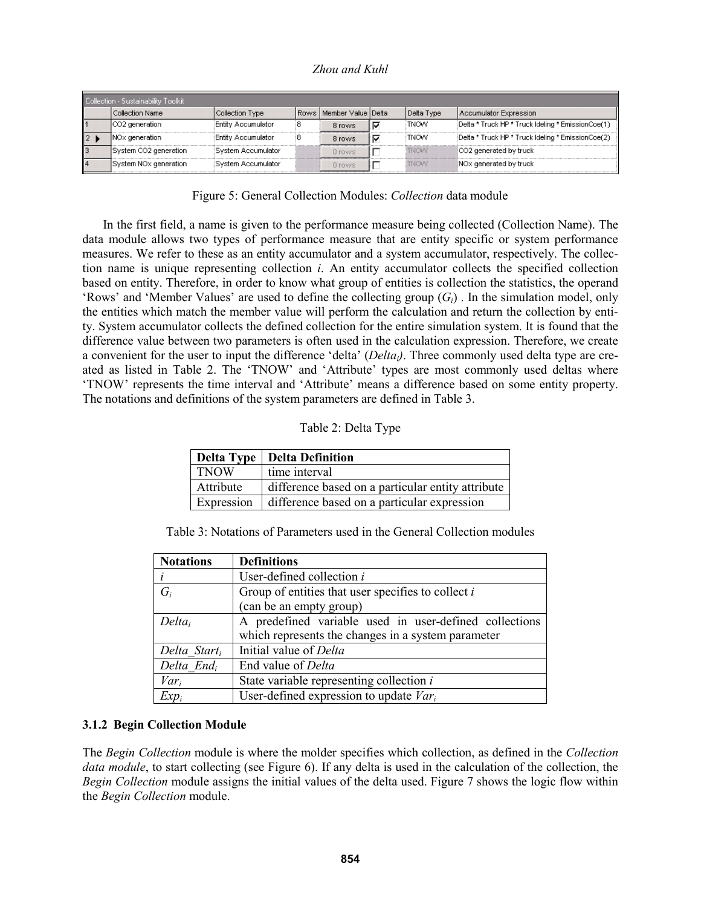| Collection - Sustainability Toolkit |                               |                      |  |                             |   |             |                                                   |
|-------------------------------------|-------------------------------|----------------------|--|-----------------------------|---|-------------|---------------------------------------------------|
|                                     | Collection Name               | Collection Type      |  | Rows   Member Value   Delta |   | Delta Type  | Accumulator Expression                            |
|                                     | CO2 generation                | Entity Accumulator:  |  | 8 rows                      | ⊽ | <b>TNOW</b> | Delta * Truck HP * Truck Ideling * EmissionCoe(1) |
|                                     | <b>INOx generation</b>        | Entity Accumulator   |  | 8 rows                      | ₽ | :TNOW       | Delta * Truck HP * Truck Ideling * EmissionCoe(2) |
|                                     | System CO2 generation         | ∃Svstern Accumulator |  | 0 rows                      |   | <b>TNOW</b> | ∣CO2 generated by truck                           |
|                                     | <b>ISystem NOx generation</b> | System Accumulator   |  | 0 rows                      |   | <b>TNOW</b> | NOx generated by truck                            |

Figure 5: General Collection Modules: *Collection* data module

In the first field, a name is given to the performance measure being collected (Collection Name). The data module allows two types of performance measure that are entity specific or system performance measures. We refer to these as an entity accumulator and a system accumulator, respectively. The collection name is unique representing collection *i*. An entity accumulator collects the specified collection based on entity. Therefore, in order to know what group of entities is collection the statistics, the operand 'Rows' and 'Member Values' are used to define the collecting group (*Gi*) . In the simulation model, only the entities which match the member value will perform the calculation and return the collection by entity. System accumulator collects the defined collection for the entire simulation system. It is found that the difference value between two parameters is often used in the calculation expression. Therefore, we create a convenient for the user to input the difference 'delta' (*Deltai)*. Three commonly used delta type are created as listed in Table 2. The 'TNOW' and 'Attribute' types are most commonly used deltas where 'TNOW' represents the time interval and 'Attribute' means a difference based on some entity property. The notations and definitions of the system parameters are defined in Table 3.

| Table 2: Delta Type |  |
|---------------------|--|
|---------------------|--|

| Delta Type   Delta Definition |                                                          |
|-------------------------------|----------------------------------------------------------|
| <b>TNOW</b>                   | time interval                                            |
| Attribute                     | difference based on a particular entity attribute        |
|                               | Expression   difference based on a particular expression |

Table 3: Notations of Parameters used in the General Collection modules

| <b>Notations</b> | <b>Definitions</b>                                     |  |
|------------------|--------------------------------------------------------|--|
| $\dot{i}$        | User-defined collection $i$                            |  |
| $G_i$            | Group of entities that user specifies to collect $i$   |  |
|                  | (can be an empty group)                                |  |
| $Delta_i$        | A predefined variable used in user-defined collections |  |
|                  | which represents the changes in a system parameter     |  |
| Delta Start      | Initial value of Delta                                 |  |
| Delta $End_i$    | End value of <i>Delta</i>                              |  |
| $Var_i$          | State variable representing collection i               |  |
| $Exp_i$          | User-defined expression to update $Var_i$              |  |

## **3.1.2 Begin Collection Module**

The *Begin Collection* module is where the molder specifies which collection, as defined in the *Collection data module*, to start collecting (see Figure 6). If any delta is used in the calculation of the collection, the *Begin Collection* module assigns the initial values of the delta used. Figure 7 shows the logic flow within the *Begin Collection* module.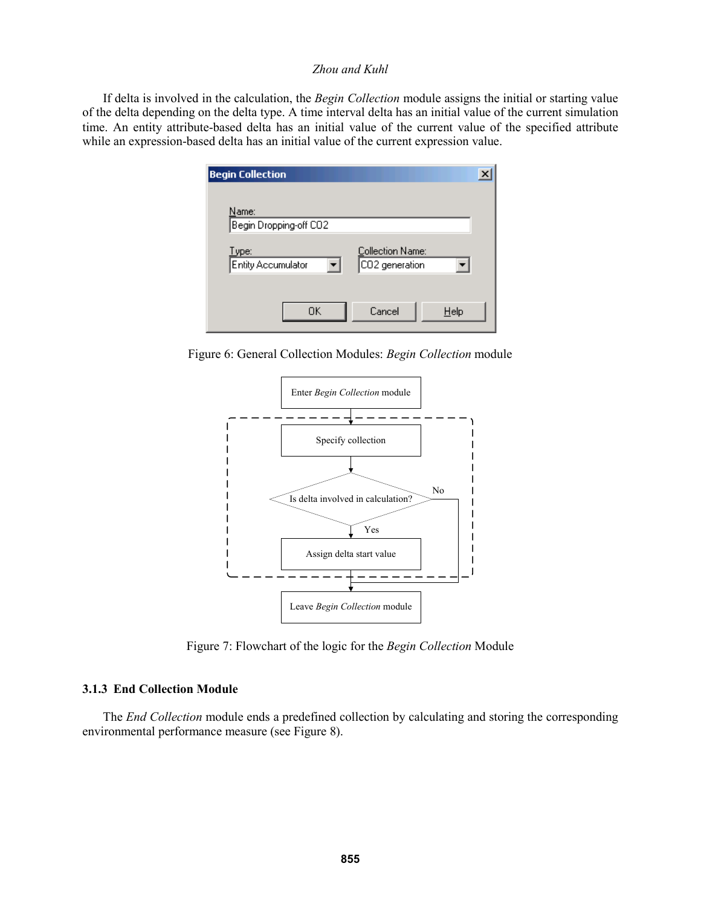If delta is involved in the calculation, the *Begin Collection* module assigns the initial or starting value of the delta depending on the delta type. A time interval delta has an initial value of the current simulation time. An entity attribute-based delta has an initial value of the current value of the specified attribute while an expression-based delta has an initial value of the current expression value.

| <b>Begin Collection</b>              | × |
|--------------------------------------|---|
|                                      |   |
| Name:                                |   |
| Begin Dropping-off CO2               |   |
| Collection Name:<br>$I$ ype:         |   |
| Entity Accumulator<br>CO2 generation |   |
|                                      |   |
|                                      |   |
|                                      |   |
| OK<br>Cancel<br>Help                 |   |

Figure 6: General Collection Modules: *Begin Collection* module



Figure 7: Flowchart of the logic for the *Begin Collection* Module

#### **3.1.3 End Collection Module**

The *End Collection* module ends a predefined collection by calculating and storing the corresponding environmental performance measure (see Figure 8).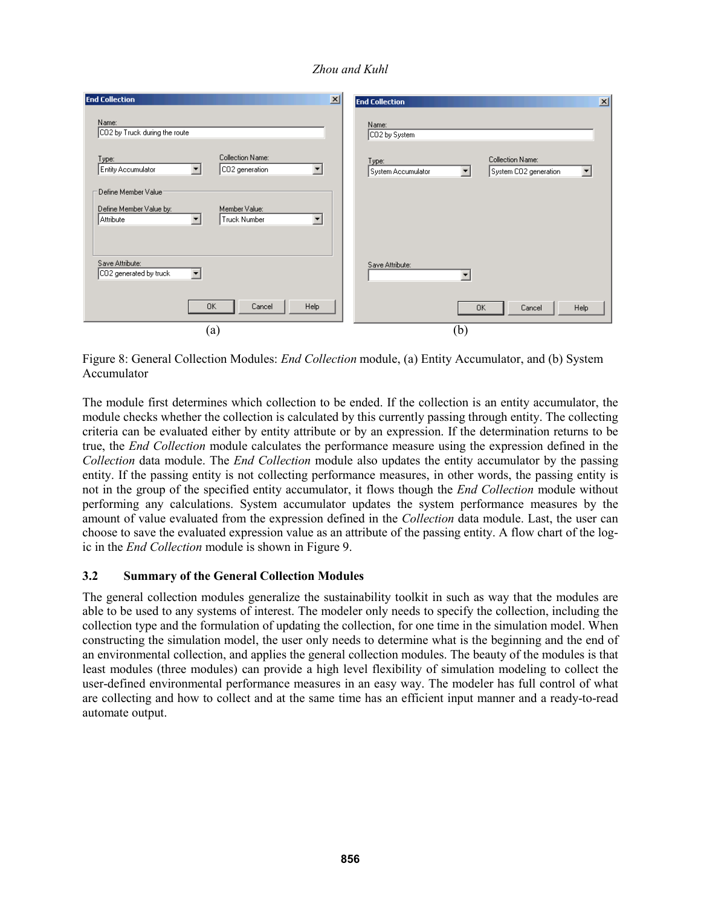| $\mathbf{x}$<br><b>End Collection</b>                                  | $\vert x \vert$<br><b>End Collection</b>                                                              |
|------------------------------------------------------------------------|-------------------------------------------------------------------------------------------------------|
| Name:<br>CO2 by Truck during the route                                 | Name:<br>CO2 by System                                                                                |
| Collection Name:<br>Type:<br>Entity Accumulator<br>CO2 generation<br>▼ | Collection Name:<br>Type:<br>▾<br>System CO2 generation<br>System Accumulator<br>$\blacktriangledown$ |
| Define Member Value:<br>Define Member Value by:<br>Member Value:       |                                                                                                       |
| $\overline{\phantom{a}}$<br>Attribute<br>Truck Number<br>▼             |                                                                                                       |
| Save Attribute:                                                        | Save Attribute:                                                                                       |
| CO2 generated by truck                                                 | ▼                                                                                                     |
| Help<br>Cancel<br>OK.                                                  | Cancel<br>Help<br>0K                                                                                  |
| (a)                                                                    | (b)                                                                                                   |

Figure 8: General Collection Modules: *End Collection* module, (a) Entity Accumulator, and (b) System Accumulator

The module first determines which collection to be ended. If the collection is an entity accumulator, the module checks whether the collection is calculated by this currently passing through entity. The collecting criteria can be evaluated either by entity attribute or by an expression. If the determination returns to be true, the *End Collection* module calculates the performance measure using the expression defined in the *Collection* data module. The *End Collection* module also updates the entity accumulator by the passing entity. If the passing entity is not collecting performance measures, in other words, the passing entity is not in the group of the specified entity accumulator, it flows though the *End Collection* module without performing any calculations. System accumulator updates the system performance measures by the amount of value evaluated from the expression defined in the *Collection* data module. Last, the user can choose to save the evaluated expression value as an attribute of the passing entity. A flow chart of the logic in the *End Collection* module is shown in Figure 9.

# **3.2 Summary of the General Collection Modules**

The general collection modules generalize the sustainability toolkit in such as way that the modules are able to be used to any systems of interest. The modeler only needs to specify the collection, including the collection type and the formulation of updating the collection, for one time in the simulation model. When constructing the simulation model, the user only needs to determine what is the beginning and the end of an environmental collection, and applies the general collection modules. The beauty of the modules is that least modules (three modules) can provide a high level flexibility of simulation modeling to collect the user-defined environmental performance measures in an easy way. The modeler has full control of what are collecting and how to collect and at the same time has an efficient input manner and a ready-to-read automate output.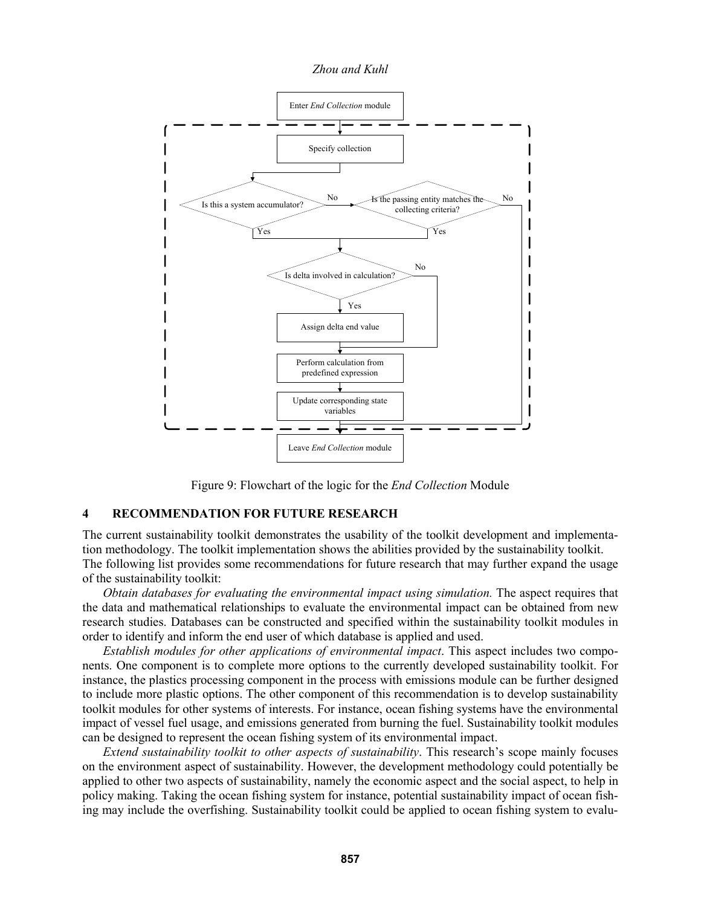*Zhou and Kuhl*



Figure 9: Flowchart of the logic for the *End Collection* Module

## **4 RECOMMENDATION FOR FUTURE RESEARCH**

The current sustainability toolkit demonstrates the usability of the toolkit development and implementation methodology. The toolkit implementation shows the abilities provided by the sustainability toolkit. The following list provides some recommendations for future research that may further expand the usage of the sustainability toolkit:

*Obtain databases for evaluating the environmental impact using simulation*. The aspect requires that the data and mathematical relationships to evaluate the environmental impact can be obtained from new research studies. Databases can be constructed and specified within the sustainability toolkit modules in order to identify and inform the end user of which database is applied and used.

*Establish modules for other applications of environmental impact*. This aspect includes two components. One component is to complete more options to the currently developed sustainability toolkit. For instance, the plastics processing component in the process with emissions module can be further designed to include more plastic options. The other component of this recommendation is to develop sustainability toolkit modules for other systems of interests. For instance, ocean fishing systems have the environmental impact of vessel fuel usage, and emissions generated from burning the fuel. Sustainability toolkit modules can be designed to represent the ocean fishing system of its environmental impact.

*Extend sustainability toolkit to other aspects of sustainability*. This research's scope mainly focuses on the environment aspect of sustainability. However, the development methodology could potentially be applied to other two aspects of sustainability, namely the economic aspect and the social aspect, to help in policy making. Taking the ocean fishing system for instance, potential sustainability impact of ocean fishing may include the overfishing. Sustainability toolkit could be applied to ocean fishing system to evalu-